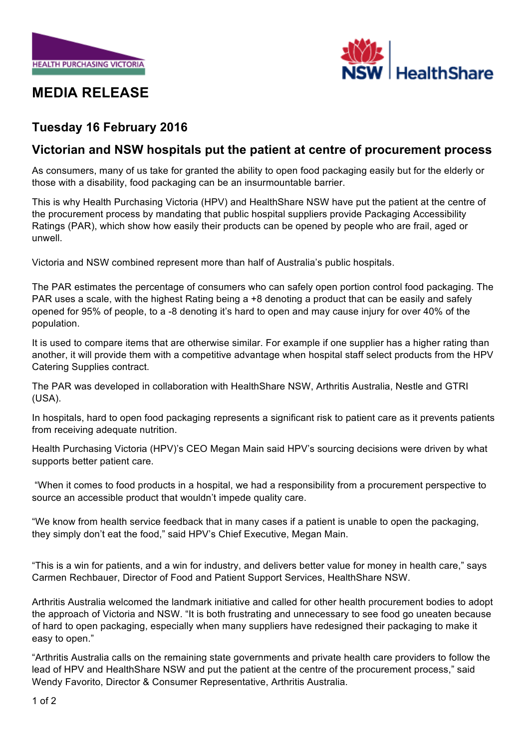

## **MEDIA RELEASE**



## **Tuesday 16 February 2016**

## **Victorian and NSW hospitals put the patient at centre of procurement process**

As consumers, many of us take for granted the ability to open food packaging easily but for the elderly or those with a disability, food packaging can be an insurmountable barrier.

This is why Health Purchasing Victoria (HPV) and HealthShare NSW have put the patient at the centre of the procurement process by mandating that public hospital suppliers provide Packaging Accessibility Ratings (PAR), which show how easily their products can be opened by people who are frail, aged or unwell.

Victoria and NSW combined represent more than half of Australia's public hospitals.

The PAR estimates the percentage of consumers who can safely open portion control food packaging. The PAR uses a scale, with the highest Rating being a +8 denoting a product that can be easily and safely opened for 95% of people, to a -8 denoting it's hard to open and may cause injury for over 40% of the population.

It is used to compare items that are otherwise similar. For example if one supplier has a higher rating than another, it will provide them with a competitive advantage when hospital staff select products from the HPV Catering Supplies contract.

The PAR was developed in collaboration with HealthShare NSW, Arthritis Australia, Nestle and GTRI (USA).

In hospitals, hard to open food packaging represents a significant risk to patient care as it prevents patients from receiving adequate nutrition.

Health Purchasing Victoria (HPV)'s CEO Megan Main said HPV's sourcing decisions were driven by what supports better patient care.

"When it comes to food products in a hospital, we had a responsibility from a procurement perspective to source an accessible product that wouldn't impede quality care.

"We know from health service feedback that in many cases if a patient is unable to open the packaging, they simply don't eat the food," said HPV's Chief Executive, Megan Main.

"This is a win for patients, and a win for industry, and delivers better value for money in health care," says Carmen Rechbauer, Director of Food and Patient Support Services, HealthShare NSW.

Arthritis Australia welcomed the landmark initiative and called for other health procurement bodies to adopt the approach of Victoria and NSW. "It is both frustrating and unnecessary to see food go uneaten because of hard to open packaging, especially when many suppliers have redesigned their packaging to make it easy to open."

"Arthritis Australia calls on the remaining state governments and private health care providers to follow the lead of HPV and HealthShare NSW and put the patient at the centre of the procurement process," said Wendy Favorito, Director & Consumer Representative, Arthritis Australia.